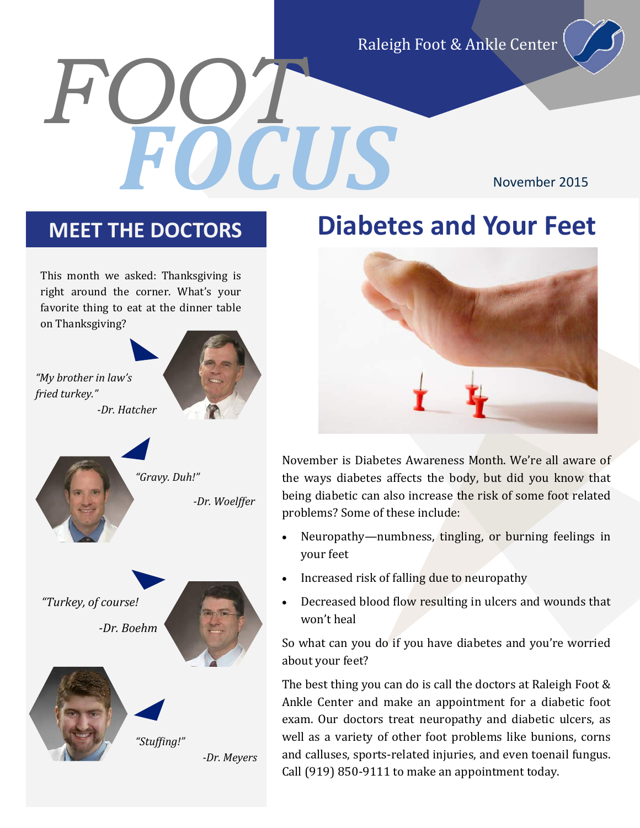Raleigh Foot & Ankle Center

*FOOT*

*FOCUS*

This month we asked: Thanksgiving is right around the corner. What's your favorite thing to eat at the dinner table on Thanksgiving?



*"Gravy. Duh!" -Dr. Woelffer*

*fried turkey."*



## **MEET THE DOCTORS Diabetes and Your Feet**

November 2015



November is Diabetes Awareness Month. We're all aware of the ways diabetes affects the body, but did you know that being diabetic can also increase the risk of some foot related problems? Some of these include:

- Neuropathy—numbness, tingling, or burning feelings in your feet
- Increased risk of falling due to neuropathy
- Decreased blood flow resulting in ulcers and wounds that won't heal

So what can you do if you have diabetes and you're worried about your feet?

The best thing you can do is call the doctors at Raleigh Foot & Ankle Center and make an appointment for a diabetic foot exam. Our doctors treat neuropathy and diabetic ulcers, as well as a variety of other foot problems like bunions, corns and calluses, sports-related injuries, and even toenail fungus. Call (919) 850-9111 to make an appointment today.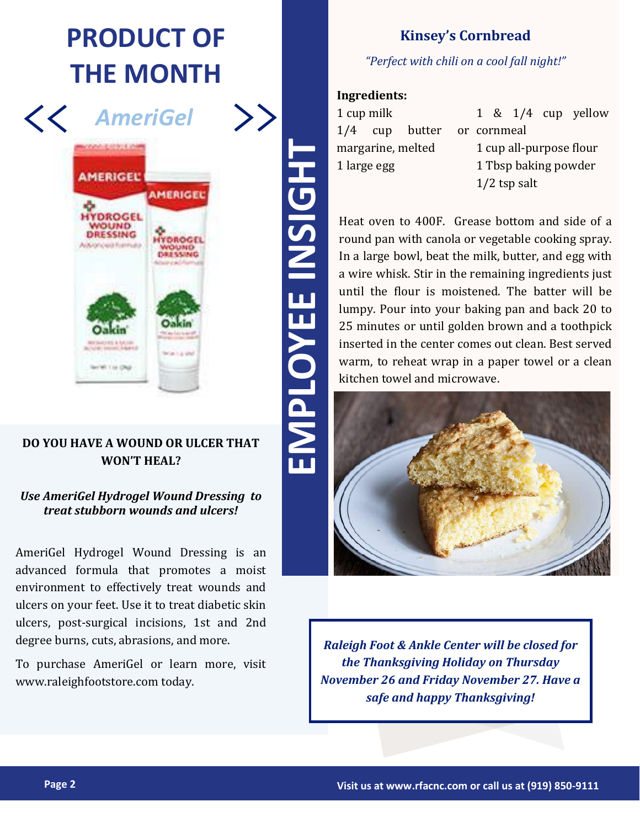## **PRODUCT OF THE MONTH**



#### **DO YOU HAVE A WOUND OR ULCER THAT WON'T HEAL?**

#### *Use AmeriGel Hydrogel Wound Dressing to treat stubborn wounds and ulcers!*

AmeriGel Hydrogel Wound Dressing is an advanced formula that promotes a moist environment to effectively treat wounds and ulcers on your feet. Use it to treat diabetic skin ulcers, post-surgical incisions, 1st and 2nd degree burns, cuts, abrasions, and more.

To purchase AmeriGel or learn more, visit www.raleighfootstore.com today.

### **Kinsey's Cornbread**

*"Perfect with chili on a cool fall night!"*

#### **Ingredients:**

| 1 cup milk        |  |  |  |                            |  |  |  | 1 & 1/4 cup yellow |
|-------------------|--|--|--|----------------------------|--|--|--|--------------------|
|                   |  |  |  | 1/4 cup butter or cornmeal |  |  |  |                    |
| margarine, melted |  |  |  | 1 cup all-purpose flour    |  |  |  |                    |
| 1 large egg       |  |  |  | 1 Tbsp baking powder       |  |  |  |                    |
|                   |  |  |  | $1/2$ tsp salt             |  |  |  |                    |

Heat oven to 400F. Grease bottom and side of a round pan with canola or vegetable cooking spray. In a large bowl, beat the milk, butter, and egg with a wire whisk. Stir in the remaining ingredients just until the flour is moistened. The batter will be lumpy. Pour into your baking pan and back 20 to 25 minutes or until golden brown and a toothpick inserted in the center comes out clean. Best served warm, to reheat wrap in a paper towel or a clean kitchen towel and microwave.



*Raleigh Foot & Ankle Center will be closed for the Thanksgiving Holiday on Thursday November 26 and Friday November 27. Have a safe and happy Thanksgiving!*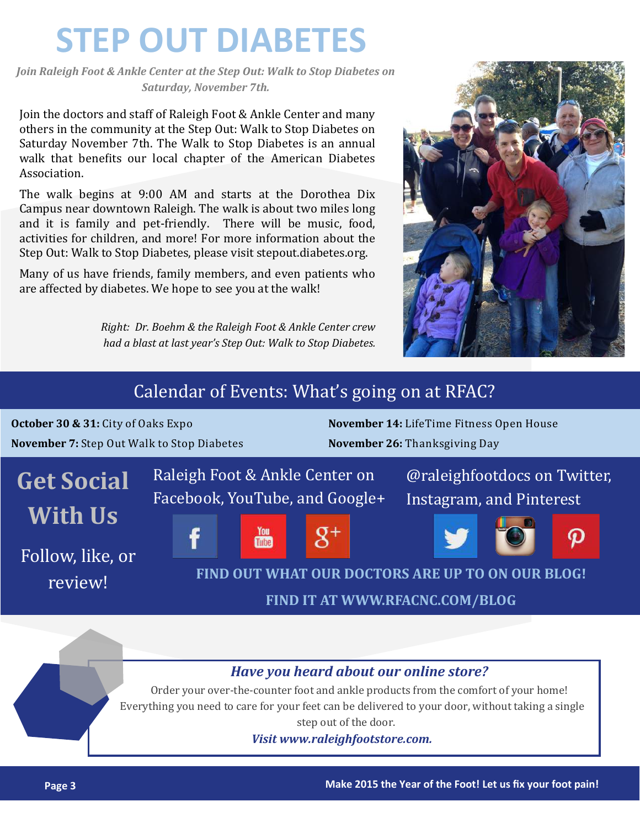# **STEP OUT DIABETES**

*Join Raleigh Foot & Ankle Center at the Step Out: Walk to Stop Diabetes on Saturday, November 7th.*

Join the doctors and staff of Raleigh Foot & Ankle Center and many others in the community at the Step Out: Walk to Stop Diabetes on Saturday November 7th. The Walk to Stop Diabetes is an annual walk that benefits our local chapter of the American Diabetes Association.

The walk begins at 9:00 AM and starts at the Dorothea Dix Campus near downtown Raleigh. The walk is about two miles long and it is family and pet-friendly. There will be music, food, activities for children, and more! For more information about the Step Out: Walk to Stop Diabetes, please visit stepout.diabetes.org.

Many of us have friends, family members, and even patients who are affected by diabetes. We hope to see you at the walk!

> *Right: Dr. Boehm & the Raleigh Foot & Ankle Center crew had a blast at last year's Step Out: Walk to Stop Diabetes.*



## Calendar of Events: What's going on at RFAC?



### *Have you heard about our online store?*

Order your over-the-counter foot and ankle products from the comfort of your home! Everything you need to care for your feet can be delivered to your door, without taking a single step out of the door.

*Visit www.raleighfootstore.com.*